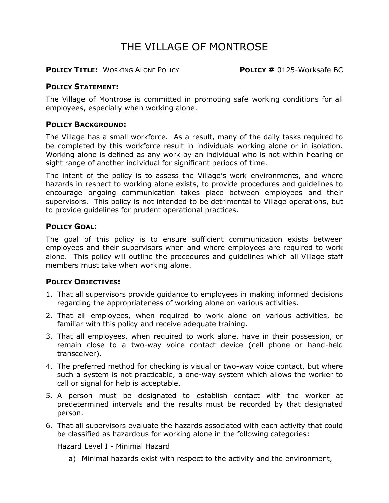# THE VILLAGE OF MONTROSE

**POLICY TITLE:** WORKING ALONE POLICY **POLICY #** 0125-Worksafe BC

#### **POLICY STATEMENT:**

The Village of Montrose is committed in promoting safe working conditions for all employees, especially when working alone.

#### **POLICY BACKGROUND:**

The Village has a small workforce. As a result, many of the daily tasks required to be completed by this workforce result in individuals working alone or in isolation. Working alone is defined as any work by an individual who is not within hearing or sight range of another individual for significant periods of time.

The intent of the policy is to assess the Village's work environments, and where hazards in respect to working alone exists, to provide procedures and guidelines to encourage ongoing communication takes place between employees and their supervisors. This policy is not intended to be detrimental to Village operations, but to provide guidelines for prudent operational practices.

# **POLICY GOAL:**

The goal of this policy is to ensure sufficient communication exists between employees and their supervisors when and where employees are required to work alone. This policy will outline the procedures and guidelines which all Village staff members must take when working alone.

#### **POLICY OBJECTIVES:**

- 1. That all supervisors provide guidance to employees in making informed decisions regarding the appropriateness of working alone on various activities.
- 2. That all employees, when required to work alone on various activities, be familiar with this policy and receive adequate training.
- 3. That all employees, when required to work alone, have in their possession, or remain close to a two-way voice contact device (cell phone or hand-held transceiver).
- 4. The preferred method for checking is visual or two-way voice contact, but where such a system is not practicable, a one-way system which allows the worker to call or signal for help is acceptable.
- 5. A person must be designated to establish contact with the worker at predetermined intervals and the results must be recorded by that designated person.
- 6. That all supervisors evaluate the hazards associated with each activity that could be classified as hazardous for working alone in the following categories:

#### Hazard Level I - Minimal Hazard

a) Minimal hazards exist with respect to the activity and the environment,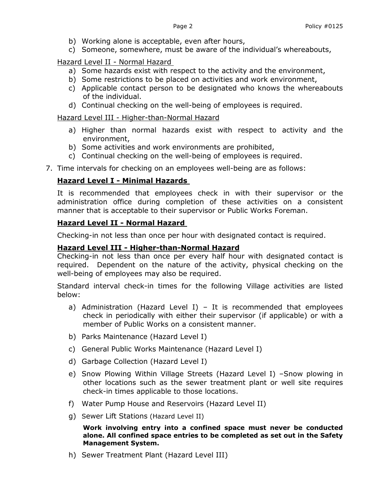- b) Working alone is acceptable, even after hours,
- c) Someone, somewhere, must be aware of the individual's whereabouts,

Hazard Level II - Normal Hazard

- a) Some hazards exist with respect to the activity and the environment,
- b) Some restrictions to be placed on activities and work environment,
- c) Applicable contact person to be designated who knows the whereabouts of the individual.
- d) Continual checking on the well-being of employees is required.

Hazard Level III - Higher-than-Normal Hazard

- a) Higher than normal hazards exist with respect to activity and the environment,
- b) Some activities and work environments are prohibited,
- c) Continual checking on the well-being of employees is required.
- 7. Time intervals for checking on an employees well-being are as follows:

# **Hazard Level I - Minimal Hazards**

It is recommended that employees check in with their supervisor or the administration office during completion of these activities on a consistent manner that is acceptable to their supervisor or Public Works Foreman.

#### **Hazard Level II - Normal Hazard**

Checking-in not less than once per hour with designated contact is required.

#### **Hazard Level III - Higher-than-Normal Hazard**

Checking-in not less than once per every half hour with designated contact is required. Dependent on the nature of the activity, physical checking on the well-being of employees may also be required.

Standard interval check-in times for the following Village activities are listed below:

- a) Administration (Hazard Level I) It is recommended that employees check in periodically with either their supervisor (if applicable) or with a member of Public Works on a consistent manner.
- b) Parks Maintenance (Hazard Level I)
- c) General Public Works Maintenance (Hazard Level I)
- d) Garbage Collection (Hazard Level I)
- e) Snow Plowing Within Village Streets (Hazard Level I) –Snow plowing in other locations such as the sewer treatment plant or well site requires check-in times applicable to those locations.
- f) Water Pump House and Reservoirs (Hazard Level II)
- g) Sewer Lift Stations (Hazard Level II)

**Work involving entry into a confined space must never be conducted alone. All confined space entries to be completed as set out in the Safety Management System.**

h) Sewer Treatment Plant (Hazard Level III)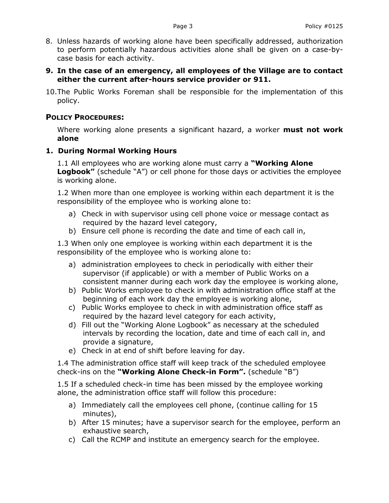- 8. Unless hazards of working alone have been specifically addressed, authorization to perform potentially hazardous activities alone shall be given on a case-bycase basis for each activity.
- **9. In the case of an emergency, all employees of the Village are to contact either the current after-hours service provider or 911.**
- 10.The Public Works Foreman shall be responsible for the implementation of this policy.

# **POLICY PROCEDURES:**

Where working alone presents a significant hazard, a worker **must not work alone**

# **1. During Normal Working Hours**

1.1 All employees who are working alone must carry a **"Working Alone Logbook"** (schedule "A") or cell phone for those days or activities the employee is working alone.

1.2 When more than one employee is working within each department it is the responsibility of the employee who is working alone to:

- a) Check in with supervisor using cell phone voice or message contact as required by the hazard level category,
- b) Ensure cell phone is recording the date and time of each call in,

1.3 When only one employee is working within each department it is the responsibility of the employee who is working alone to:

- a) administration employees to check in periodically with either their supervisor (if applicable) or with a member of Public Works on a consistent manner during each work day the employee is working alone,
- b) Public Works employee to check in with administration office staff at the beginning of each work day the employee is working alone,
- c) Public Works employee to check in with administration office staff as required by the hazard level category for each activity,
- d) Fill out the "Working Alone Logbook" as necessary at the scheduled intervals by recording the location, date and time of each call in, and provide a signature,
- e) Check in at end of shift before leaving for day.

1.4 The administration office staff will keep track of the scheduled employee check-ins on the **"Working Alone Check-in Form".** (schedule "B")

1.5 If a scheduled check-in time has been missed by the employee working alone, the administration office staff will follow this procedure:

- a) Immediately call the employees cell phone, (continue calling for 15 minutes),
- b) After 15 minutes; have a supervisor search for the employee, perform an exhaustive search,
- c) Call the RCMP and institute an emergency search for the employee.